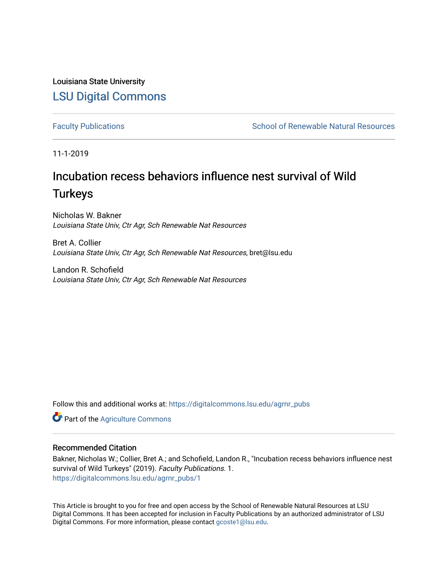Louisiana State University [LSU Digital Commons](https://digitalcommons.lsu.edu/)

[Faculty Publications](https://digitalcommons.lsu.edu/agrnr_pubs) **School of Renewable Natural Resources** School of Renewable Natural Resources

11-1-2019

# Incubation recess behaviors influence nest survival of Wild **Turkeys**

Nicholas W. Bakner Louisiana State Univ, Ctr Agr, Sch Renewable Nat Resources

Bret A. Collier Louisiana State Univ, Ctr Agr, Sch Renewable Nat Resources, bret@lsu.edu

Landon R. Schofield Louisiana State Univ, Ctr Agr, Sch Renewable Nat Resources

Follow this and additional works at: [https://digitalcommons.lsu.edu/agrnr\\_pubs](https://digitalcommons.lsu.edu/agrnr_pubs?utm_source=digitalcommons.lsu.edu%2Fagrnr_pubs%2F1&utm_medium=PDF&utm_campaign=PDFCoverPages) 

**Part of the [Agriculture Commons](http://network.bepress.com/hgg/discipline/1076?utm_source=digitalcommons.lsu.edu%2Fagrnr_pubs%2F1&utm_medium=PDF&utm_campaign=PDFCoverPages)** 

# Recommended Citation

Bakner, Nicholas W.; Collier, Bret A.; and Schofield, Landon R., "Incubation recess behaviors influence nest survival of Wild Turkeys" (2019). Faculty Publications. 1. [https://digitalcommons.lsu.edu/agrnr\\_pubs/1](https://digitalcommons.lsu.edu/agrnr_pubs/1?utm_source=digitalcommons.lsu.edu%2Fagrnr_pubs%2F1&utm_medium=PDF&utm_campaign=PDFCoverPages) 

This Article is brought to you for free and open access by the School of Renewable Natural Resources at LSU Digital Commons. It has been accepted for inclusion in Faculty Publications by an authorized administrator of LSU Digital Commons. For more information, please contact [gcoste1@lsu.edu.](mailto:gcoste1@lsu.edu)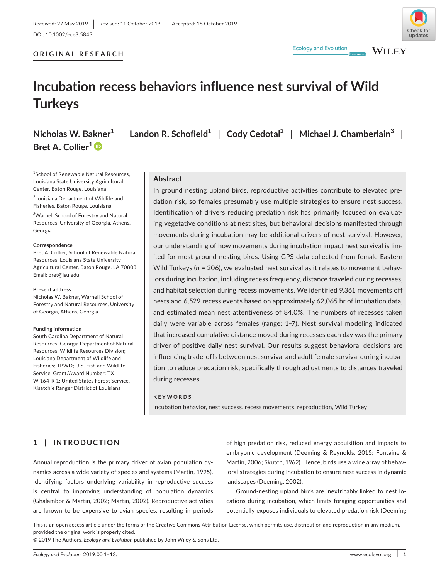# **WILEY**

# **ORIGINAL RESEARCH**



# **Incubation recess behaviors influence nest survival of Wild Turkeys**

**Nicholas W. Bakner1** | **Landon R. Schofield1** | **Cody Cedotal<sup>2</sup>** | **Michael J. Chamberlain<sup>3</sup>** | **Bret A. Collier<sup>1</sup>**<sup>D</sup>

**Ecology and Evolution** 

1 School of Renewable Natural Resources, Louisiana State University Agricultural Center, Baton Rouge, Louisiana

<sup>2</sup> Louisiana Department of Wildlife and Fisheries, Baton Rouge, Louisiana

3 Warnell School of Forestry and Natural Resources, University of Georgia, Athens, Georgia

#### **Correspondence**

Bret A. Collier, School of Renewable Natural Resources, Louisiana State University Agricultural Center, Baton Rouge, LA 70803. Email: [bret@lsu.edu](mailto:bret@lsu.edu)

#### **Present address**

Nicholas W. Bakner, Warnell School of Forestry and Natural Resources, University of Georgia, Athens, Georgia

#### **Funding information**

South Carolina Department of Natural Resources; Georgia Department of Natural Resources, Wildlife Resources Division; Louisiana Department of Wildlife and Fisheries; TPWD; U.S. Fish and Wildlife Service, Grant/Award Number: TX W-164-R-1; United States Forest Service, Kisatchie Ranger District of Louisiana

#### **Abstract**

In ground nesting upland birds, reproductive activities contribute to elevated predation risk, so females presumably use multiple strategies to ensure nest success. Identification of drivers reducing predation risk has primarily focused on evaluating vegetative conditions at nest sites, but behavioral decisions manifested through movements during incubation may be additional drivers of nest survival. However, our understanding of how movements during incubation impact nest survival is limited for most ground nesting birds. Using GPS data collected from female Eastern Wild Turkeys (*n* = 206), we evaluated nest survival as it relates to movement behaviors during incubation, including recess frequency, distance traveled during recesses, and habitat selection during recess movements. We identified 9,361 movements off nests and 6,529 recess events based on approximately 62,065 hr of incubation data, and estimated mean nest attentiveness of 84.0%. The numbers of recesses taken daily were variable across females (range: 1-7). Nest survival modeling indicated that increased cumulative distance moved during recesses each day was the primary driver of positive daily nest survival. Our results suggest behavioral decisions are influencing trade-offs between nest survival and adult female survival during incubation to reduce predation risk, specifically through adjustments to distances traveled during recesses.

#### **KEYWORDS**

incubation behavior, nest success, recess movements, reproduction, Wild Turkey

# **1** | **INTRODUCTION**

Annual reproduction is the primary driver of avian population dynamics across a wide variety of species and systems (Martin, 1995). Identifying factors underlying variability in reproductive success is central to improving understanding of population dynamics (Ghalambor & Martin, 2002; Martin, 2002). Reproductive activities are known to be expensive to avian species, resulting in periods of high predation risk, reduced energy acquisition and impacts to embryonic development (Deeming & Reynolds, 2015; Fontaine & Martin, 2006; Skutch, 1962). Hence, birds use a wide array of behavioral strategies during incubation to ensure nest success in dynamic landscapes (Deeming, 2002).

Ground-nesting upland birds are inextricably linked to nest locations during incubation, which limits foraging opportunities and potentially exposes individuals to elevated predation risk (Deeming

This is an open access article under the terms of the [Creative Commons Attribution](http://creativecommons.org/licenses/by/4.0/) License, which permits use, distribution and reproduction in any medium, provided the original work is properly cited.

© 2019 The Authors. *Ecology and Evolution* published by John Wiley & Sons Ltd.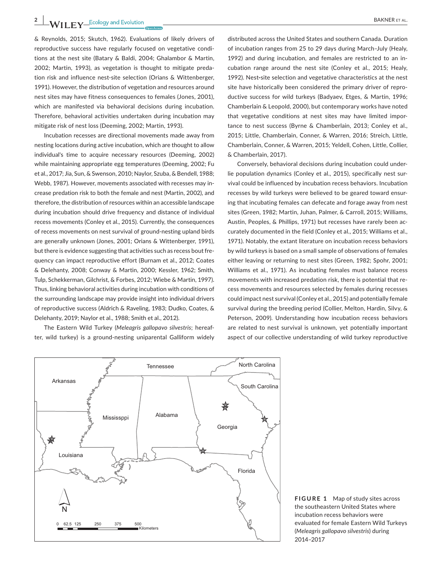& Reynolds, 2015; Skutch, 1962). Evaluations of likely drivers of reproductive success have regularly focused on vegetative conditions at the nest site (Batary & Baldi, 2004; Ghalambor & Martin, 2002; Martin, 1993), as vegetation is thought to mitigate predation risk and influence nest-site selection (Orians & Wittenberger, 1991). However, the distribution of vegetation and resources around nest sites may have fitness consequences to females (Jones, 2001), which are manifested via behavioral decisions during incubation. Therefore, behavioral activities undertaken during incubation may mitigate risk of nest loss (Deeming, 2002; Martin, 1993).

Incubation recesses are directional movements made away from nesting locations during active incubation, which are thought to allow individual's time to acquire necessary resources (Deeming, 2002) while maintaining appropriate egg temperatures (Deeming, 2002; Fu et al., 2017; Jia, Sun, & Swenson, 2010; Naylor, Szuba, & Bendell, 1988; Webb, 1987). However, movements associated with recesses may increase predation risk to both the female and nest (Martin, 2002), and therefore, the distribution of resources within an accessible landscape during incubation should drive frequency and distance of individual recess movements (Conley et al., 2015). Currently, the consequences of recess movements on nest survival of ground-nesting upland birds are generally unknown (Jones, 2001; Orians & Wittenberger, 1991), but there is evidence suggesting that activities such as recess bout frequency can impact reproductive effort (Burnam et al., 2012; Coates & Delehanty, 2008; Conway & Martin, 2000; Kessler, 1962; Smith, Tulp, Schekkerman, Gilchrist, & Forbes, 2012; Wiebe & Martin, 1997). Thus, linking behavioral activities during incubation with conditions of the surrounding landscape may provide insight into individual drivers of reproductive success (Aldrich & Raveling, 1983; Dudko, Coates, & Delehanty, 2019; Naylor et al., 1988; Smith et al., 2012).

The Eastern Wild Turkey (*Meleagris gallopavo silvestris*; hereafter, wild turkey) is a ground-nesting uniparental Galliform widely

distributed across the United States and southern Canada. Duration of incubation ranges from 25 to 29 days during March-July (Healy, 1992) and during incubation, and females are restricted to an incubation range around the nest site (Conley et al., 2015; Healy, 1992). Nest**-**site selection and vegetative characteristics at the nest site have historically been considered the primary driver of reproductive success for wild turkeys (Badyaev, Etges, & Martin, 1996; Chamberlain & Leopold, 2000), but contemporary works have noted that vegetative conditions at nest sites may have limited importance to nest success (Byrne & Chamberlain, 2013; Conley et al., 2015; Little, Chamberlain, Conner, & Warren, 2016; Streich, Little, Chamberlain, Conner, & Warren, 2015; Yeldell, Cohen, Little, Collier, & Chamberlain, 2017).

Conversely, behavioral decisions during incubation could underlie population dynamics (Conley et al., 2015), specifically nest survival could be influenced by incubation recess behaviors. Incubation recesses by wild turkeys were believed to be geared toward ensuring that incubating females can defecate and forage away from nest sites (Green, 1982; Martin, Juhan, Palmer, & Carroll, 2015; Williams, Austin, Peoples, & Phillips, 1971) but recesses have rarely been accurately documented in the field (Conley et al., 2015; Williams et al., 1971). Notably, the extant literature on incubation recess behaviors by wild turkeys is based on a small sample of observations of females either leaving or returning to nest sites (Green, 1982; Spohr, 2001; Williams et al., 1971). As incubating females must balance recess movements with increased predation risk, there is potential that recess movements and resources selected by females during recesses could impact nest survival (Conley et al., 2015) and potentially female survival during the breeding period (Collier, Melton, Hardin, Silvy, & Peterson, 2009). Understanding how incubation recess behaviors are related to nest survival is unknown, yet potentially important aspect of our collective understanding of wild turkey reproductive



**FIGURE 1** Map of study sites across the southeastern United States where incubation recess behaviors were evaluated for female Eastern Wild Turkeys (*Meleagris gallopavo silvestris*) during 2014‒2017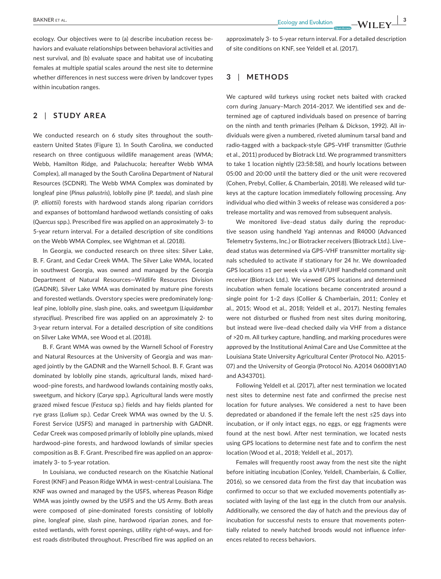ecology. Our objectives were to (a) describe incubation recess behaviors and evaluate relationships between behavioral activities and nest survival, and (b) evaluate space and habitat use of incubating females at multiple spatial scales around the nest site to determine whether differences in nest success were driven by landcover types within incubation ranges.

## **2** | **STUDY AREA**

We conducted research on 6 study sites throughout the southeastern United States (Figure 1). In South Carolina, we conducted research on three contiguous wildlife management areas (WMA; Webb, Hamilton Ridge, and Palachucola; hereafter Webb WMA Complex), all managed by the South Carolina Department of Natural Resources (SCDNR). The Webb WMA Complex was dominated by longleaf pine (*Pinus palustris*), loblolly pine (*P. taeda*), and slash pine (*P. elliottii*) forests with hardwood stands along riparian corridors and expanses of bottomland hardwood wetlands consisting of oaks (*Quercus* spp.). Prescribed fire was applied on an approximately 3- to 5-year return interval. For a detailed description of site conditions on the Webb WMA Complex, see Wightman et al. (2018).

In Georgia, we conducted research on three sites: Silver Lake, B. F. Grant, and Cedar Creek WMA. The Silver Lake WMA, located in southwest Georgia, was owned and managed by the Georgia Department of Natural Resources—Wildlife Resources Division (GADNR). Silver Lake WMA was dominated by mature pine forests and forested wetlands. Overstory species were predominately longleaf pine, loblolly pine, slash pine, oaks, and sweetgum (*Liquidambar styraciflua*). Prescribed fire was applied on an approximately 2- to 3-year return interval. For a detailed description of site conditions on Silver Lake WMA, see Wood et al. (2018).

B. F. Grant WMA was owned by the Warnell School of Forestry and Natural Resources at the University of Georgia and was managed jointly by the GADNR and the Warnell School. B. F. Grant was dominated by loblolly pine stands, agricultural lands, mixed hardwood-pine forests, and hardwood lowlands containing mostly oaks, sweetgum, and hickory (*Carya* spp.). Agricultural lands were mostly grazed mixed fescue (*Festuca* sp.) fields and hay fields planted for rye grass (*Lolium* sp.). Cedar Creek WMA was owned by the U. S. Forest Service (USFS) and managed in partnership with GADNR. Cedar Creek was composed primarily of loblolly pine uplands, mixed hardwood-pine forests, and hardwood lowlands of similar species composition as B. F. Grant. Prescribed fire was applied on an approximately 3- to 5-year rotation.

In Louisiana, we conducted research on the Kisatchie National Forest (KNF) and Peason Ridge WMA in west-central Louisiana. The KNF was owned and managed by the USFS, whereas Peason Ridge WMA was jointly owned by the USFS and the US Army. Both areas were composed of pine-dominated forests consisting of loblolly pine, longleaf pine, slash pine, hardwood riparian zones, and forested wetlands, with forest openings, utility right-of-ways, and forest roads distributed throughout. Prescribed fire was applied on an

approximately 3- to 5-year return interval. For a detailed description of site conditions on KNF, see Yeldell et al. (2017).

## **3** | **METHODS**

We captured wild turkeys using rocket nets baited with cracked corn during January-March 2014-2017. We identified sex and determined age of captured individuals based on presence of barring on the ninth and tenth primaries (Pelham & Dickson, 1992). All individuals were given a numbered, riveted aluminum tarsal band and radio-tagged with a backpack-style GPS-VHF transmitter (Guthrie et al., 2011) produced by Biotrack Ltd. We programmed transmitters to take 1 location nightly (23:58:58), and hourly locations between 05:00 and 20:00 until the battery died or the unit were recovered (Cohen, Prebyl, Collier, & Chamberlain, 2018). We released wild turkeys at the capture location immediately following processing. Any individual who died within 3 weeks of release was considered a postrelease mortality and was removed from subsequent analysis.

We monitored live-dead status daily during the reproductive season using handheld Yagi antennas and R4000 (Advanced Telemetry Systems, Inc.) or Biotracker receivers (Biotrack Ltd.). Livedead status was determined via GPS-VHF transmitter mortality signals scheduled to activate if stationary for 24 hr. We downloaded GPS locations ≥1 per week via a VHF/UHF handheld command unit receiver (Biotrack Ltd.). We viewed GPS locations and determined incubation when female locations became concentrated around a single point for 1–2 days (Collier & Chamberlain, 2011; Conley et al., 2015; Wood et al., 2018; Yeldell et al., 2017). Nesting females were not disturbed or flushed from nest sites during monitoring, but instead were live-dead checked daily via VHF from a distance of >20 m. All turkey capture, handling, and marking procedures were approved by the Institutional Animal Care and Use Committee at the Louisiana State University Agricultural Center (Protocol No. A2015- 07) and the University of Georgia (Protocol No. A2014 06008Y1A0 and A343701).

Following Yeldell et al. (2017), after nest termination we located nest sites to determine nest fate and confirmed the precise nest location for future analyses. We considered a nest to have been depredated or abandoned if the female left the nest ≤25 days into incubation, or if only intact eggs, no eggs, or egg fragments were found at the nest bowl. After nest termination, we located nests using GPS locations to determine nest fate and to confirm the nest location (Wood et al., 2018; Yeldell et al., 2017).

Females will frequently roost away from the nest site the night before initiating incubation (Conley, Yeldell, Chamberlain, & Collier, 2016), so we censored data from the first day that incubation was confirmed to occur so that we excluded movements potentially associated with laying of the last egg in the clutch from our analysis. Additionally, we censored the day of hatch and the previous day of incubation for successful nests to ensure that movements potentially related to newly hatched broods would not influence inferences related to recess behaviors.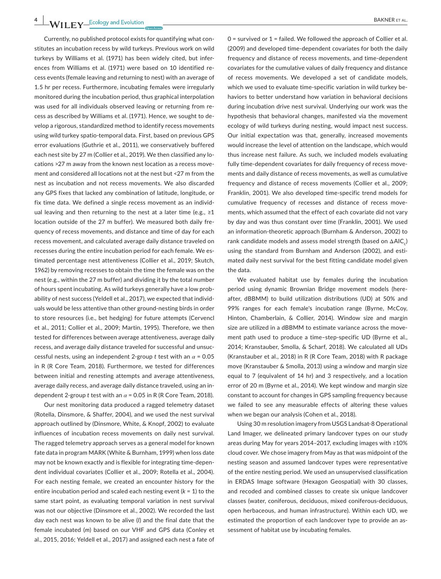Currently, no published protocol exists for quantifying what constitutes an incubation recess by wild turkeys. Previous work on wild turkeys by Williams et al. (1971) has been widely cited, but inferences from Williams et al. (1971) were based on 10 identified recess events (female leaving and returning to nest) with an average of 1.5 hr per recess. Furthermore, incubating females were irregularly monitored during the incubation period, thus graphical interpolation was used for all individuals observed leaving or returning from recess as described by Williams et al. (1971). Hence, we sought to develop a rigorous, standardized method to identify recess movements using wild turkey spatio-temporal data. First, based on previous GPS error evaluations (Guthrie et al., 2011), we conservatively buffered each nest site by 27 m (Collier et al., 2019). We then classified any locations >27 m away from the known nest location as a recess movement and considered all locations not at the nest but <27 m from the nest as incubation and not recess movements. We also discarded any GPS fixes that lacked any combination of latitude, longitude, or fix time data. We defined a single recess movement as an individual leaving and then returning to the nest at a later time (e.g.,  $\geq 1$ ) location outside of the 27 m buffer). We measured both daily frequency of recess movements, and distance and time of day for each recess movement, and calculated average daily distance traveled on recesses during the entire incubation period for each female. We estimated percentage nest attentiveness (Collier et al., 2019; Skutch, 1962) by removing recesses to obtain the time the female was on the nest (e.g., within the 27 m buffer) and dividing it by the total number of hours spent incubating. As wild turkeys generally have a low probability of nest success (Yeldell et al., 2017), we expected that individuals would be less attentive than other ground-nesting birds in order to store resources (i.e., bet hedging) for future attempts (Cervencl et al., 2011; Collier et al., 2009; Martin, 1995). Therefore, we then tested for differences between average attentiveness, average daily recess, and average daily distance traveled for successful and unsuccessful nests, using an independent 2-group *t* test with an *α* = 0.05 in R (R Core Team, 2018). Furthermore, we tested for differences between initial and renesting attempts and average attentiveness, average daily recess, and average daily distance traveled, using an independent 2-group *t* test with an *α* = 0.05 in R (R Core Team, 2018).

Our nest monitoring data produced a ragged telemetry dataset (Rotella, Dinsmore, & Shaffer, 2004), and we used the nest survival approach outlined by (Dinsmore, White, & Knopf, 2002) to evaluate influences of incubation recess movements on daily nest survival. The ragged telemetry approach serves as a general model for known fate data in program MARK (White & Burnham, 1999) when loss date may not be known exactly and is flexible for integrating time-dependent individual covariates (Collier et al., 2009; Rotella et al., 2004). For each nesting female, we created an encounter history for the entire incubation period and scaled each nesting event (*k* = 1) to the same start point, as evaluating temporal variation in nest survival was not our objective (Dinsmore et al., 2002). We recorded the last day each nest was known to be alive (*l*) and the final date that the female incubated (*m*) based on our VHF and GPS data (Conley et al., 2015, 2016; Yeldell et al., 2017) and assigned each nest a fate of

0 = survived or 1 = failed. We followed the approach of Collier et al. (2009) and developed time-dependent covariates for both the daily frequency and distance of recess movements, and time-dependent covariates for the cumulative values of daily frequency and distance of recess movements. We developed a set of candidate models, which we used to evaluate time-specific variation in wild turkey behaviors to better understand how variation in behavioral decisions during incubation drive nest survival. Underlying our work was the hypothesis that behavioral changes, manifested via the movement ecology of wild turkeys during nesting, would impact nest success. Our initial expectation was that, generally, increased movements would increase the level of attention on the landscape, which would thus increase nest failure. As such, we included models evaluating fully time-dependent covariates for daily frequency of recess movements and daily distance of recess movements, as well as cumulative frequency and distance of recess movements (Collier et al., 2009; Franklin, 2001). We also developed time-specific trend models for cumulative frequency of recesses and distance of recess movements, which assumed that the effect of each covariate did not vary by day and was thus constant over time (Franklin, 2001). We used an information-theoretic approach (Burnham & Anderson, 2002) to rank candidate models and assess model strength (based on  $\Delta AIC_c$ ) using the standard from Burnham and Anderson (2002), and estimated daily nest survival for the best fitting candidate model given the data.

We evaluated habitat use by females during the incubation period using dynamic Brownian Bridge movement models (hereafter, dBBMM) to build utilization distributions (UD) at 50% and 99% ranges for each female's incubation range (Byrne, McCoy, Hinton, Chamberlain, & Collier, 2014). Window size and margin size are utilized in a dBBMM to estimate variance across the movement path used to produce a time-step-specific UD (Byrne et al., 2014; Kranstauber, Smolla, & Scharf, 2018). We calculated all UDs (Kranstauber et al., 2018) in R (R Core Team, 2018) with R package move (Kranstauber & Smolla, 2013) using a window and margin size equal to 7 (equivalent of 14 hr) and 3 respectively, and a location error of 20 m (Byrne et al., 2014). We kept window and margin size constant to account for changes in GPS sampling frequency because we failed to see any measurable effects of altering these values when we began our analysis (Cohen et al., 2018).

Using 30 m resolution imagery from USGS Landsat-8 Operational Land Imager, we delineated primary landcover types on our study areas during May for years 2014‒2017, excluding images with ≥10% cloud cover. We chose imagery from May as that was midpoint of the nesting season and assumed landcover types were representative of the entire nesting period. We used an unsupervised classification in ERDAS Image software (Hexagon Geospatial) with 30 classes, and recoded and combined classes to create six unique landcover classes (water, coniferous, deciduous, mixed coniferous-deciduous, open herbaceous, and human infrastructure). Within each UD, we estimated the proportion of each landcover type to provide an assessment of habitat use by incubating females.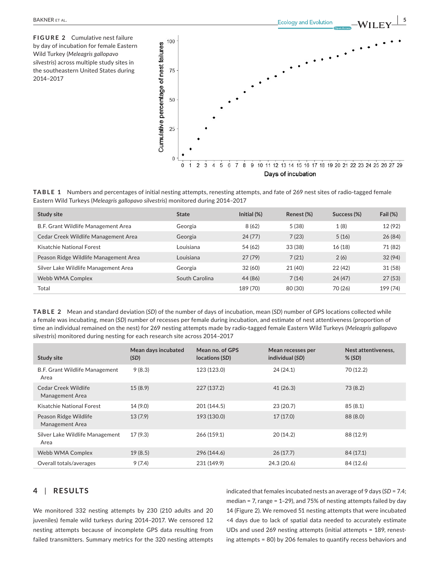**FIGURE 2** Cumulative nest failure by day of incubation for female Eastern Wild Turkey (*Meleagris gallopavo silvestris*) across multiple study sites in the southeastern United States during 2014–2017



**TABLE 1** Numbers and percentages of initial nesting attempts, renesting attempts, and fate of 269 nest sites of radio-tagged female Eastern Wild Turkeys (*Meleagris gallopavo silvestris*) monitored during 2014‒2017

| Study site                            | <b>State</b>   | Initial $(\%)$ | Renest (%) | Success (%) | Fail $(%)$ |
|---------------------------------------|----------------|----------------|------------|-------------|------------|
| B.F. Grant Wildlife Management Area   | Georgia        | 8(62)          | 5(38)      | 1(8)        | 12 (92)    |
| Cedar Creek Wildlife Management Area  | Georgia        | 24(77)         | 7(23)      | 5(16)       | 26(84)     |
| Kisatchie National Forest             | Louisiana      | 54 (62)        | 33 (38)    | 16(18)      | 71 (82)    |
| Peason Ridge Wildlife Management Area | Louisiana      | 27(79)         | 7(21)      | 2(6)        | 32 (94)    |
| Silver Lake Wildlife Management Area  | Georgia        | 32 (60)        | 21 (40)    | 22(42)      | 31(58)     |
| Webb WMA Complex                      | South Carolina | 44 (86)        | 7(14)      | 24(47)      | 27(53)     |
| Total                                 |                | 189 (70)       | 80 (30)    | 70 (26)     | 199 (74)   |

**TABLE 2** Mean and standard deviation (*SD*) of the number of days of incubation, mean (*SD*) number of GPS locations collected while a female was incubating, mean (*SD*) number of recesses per female during incubation, and estimate of nest attentiveness (proportion of time an individual remained on the nest) for 269 nesting attempts made by radio-tagged female Eastern Wild Turkeys (*Meleagris gallopavo*  silvestris) monitored during nesting for each research site across 2014-2017

| Study site                               | Mean days incubated<br>(SD) | Mean no. of GPS<br>locations (SD) | Mean recesses per<br>individual (SD) | Nest attentiveness.<br>$%$ (SD) |
|------------------------------------------|-----------------------------|-----------------------------------|--------------------------------------|---------------------------------|
| B.F. Grant Wildlife Management<br>Area   | 9(8.3)                      | 123 (123.0)                       | 24(24.1)                             | 70 (12.2)                       |
| Cedar Creek Wildlife<br>Management Area  | 15(8.9)                     | 227 (137.2)                       | 41(26.3)                             | 73(8.2)                         |
| Kisatchie National Forest                | 14 (9.0)                    | 201 (144.5)                       | 23(20.7)                             | 85(8.1)                         |
| Peason Ridge Wildlife<br>Management Area | 13(7.9)                     | 193 (130.0)                       | 17(17.0)                             | 88 (8.0)                        |
| Silver Lake Wildlife Management<br>Area  | 17(9.3)                     | 266 (159.1)                       | 20(14.2)                             | 88 (12.9)                       |
| Webb WMA Complex                         | 19(8.5)                     | 296 (144.6)                       | 26(17.7)                             | 84 (17.1)                       |
| Overall totals/averages                  | 9(7.4)                      | 231 (149.9)                       | 24.3 (20.6)                          | 84 (12.6)                       |

# **4** | **RESULTS**

We monitored 332 nesting attempts by 230 (210 adults and 20 juveniles) female wild turkeys during 2014-2017. We censored 12 nesting attempts because of incomplete GPS data resulting from failed transmitters. Summary metrics for the 320 nesting attempts

indicated that females incubated nests an average of 9 days (*SD* = 7.4; median = 7, range =  $1-29$ ), and 75% of nesting attempts failed by day 14 (Figure 2). We removed 51 nesting attempts that were incubated <4 days due to lack of spatial data needed to accurately estimate UDs and used 269 nesting attempts (initial attempts = 189, renesting attempts = 80) by 206 females to quantify recess behaviors and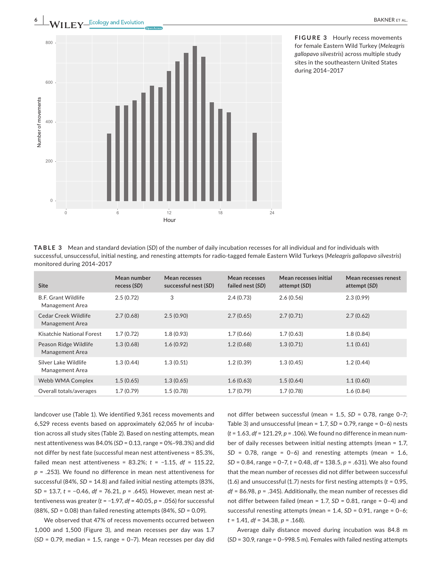



**FIGURE 3** Hourly recess movements for female Eastern Wild Turkey (*Meleagris gallopavo silvestris*) across multiple study sites in the southeastern United States during 2014–2017

**TABLE 3** Mean and standard deviation (*SD*) of the number of daily incubation recesses for all individual and for individuals with successful, unsuccessful, initial nesting, and renesting attempts for radio-tagged female Eastern Wild Turkeys (*Meleagris gallopavo silvestris*) monitored during 2014‒2017

| <b>Site</b>                                   | Mean number<br>recess (SD) | Mean recesses<br>successful nest (SD) | Mean recesses<br>failed nest (SD) | Mean recesses initial<br>attempt (SD) | Mean recesses renest<br>attempt (SD) |
|-----------------------------------------------|----------------------------|---------------------------------------|-----------------------------------|---------------------------------------|--------------------------------------|
| <b>B.F. Grant Wildlife</b><br>Management Area | 2.5(0.72)                  | 3                                     | 2.4(0.73)                         | 2.6(0.56)                             | 2.3(0.99)                            |
| Cedar Creek Wildlife<br>Management Area       | 2.7(0.68)                  | 2.5(0.90)                             | 2.7(0.65)                         | 2.7(0.71)                             | 2.7(0.62)                            |
| Kisatchie National Forest                     | 1.7(0.72)                  | 1.8(0.93)                             | 1.7(0.66)                         | 1.7(0.63)                             | 1.8(0.84)                            |
| Peason Ridge Wildlife<br>Management Area      | 1.3(0.68)                  | 1.6(0.92)                             | 1.2(0.68)                         | 1.3(0.71)                             | 1.1(0.61)                            |
| Silver Lake Wildlife<br>Management Area       | 1.3(0.44)                  | 1.3(0.51)                             | 1.2(0.39)                         | 1.3(0.45)                             | 1.2(0.44)                            |
| Webb WMA Complex                              | 1.5(0.65)                  | 1.3(0.65)                             | 1.6(0.63)                         | 1.5(0.64)                             | 1.1(0.60)                            |
| Overall totals/averages                       | 1.7(0.79)                  | 1.5(0.78)                             | 1.7(0.79)                         | 1.7(0.78)                             | 1.6(0.84)                            |

landcover use (Table 1). We identified 9,361 recess movements and 6,529 recess events based on approximately 62,065 hr of incubation across all study sites (Table 2). Based on nesting attempts, mean nest attentiveness was 84.0% (*SD* = 0.13, range = 0%-98.3%) and did not differ by nest fate (successful mean nest attentiveness = 85.3%, failed mean nest attentiveness = 83.2%; *t* = −1.15, *df* = 115.22, *p* = .253). We found no difference in mean nest attentiveness for successful (84%, *SD* = 14.8) and failed initial nesting attempts (83%, *SD* = 13.7, *t* = −0.46, *df* = 76.21, *p* = .645). However, mean nest attentiveness was greater (*t* = −1.97, *df* = 40.05, *p* = .056) for successful (88%, *SD* = 0.08) than failed renesting attempts (84%, *SD* = 0.09).

We observed that 47% of recess movements occurred between 1,000 and 1,500 (Figure 3), and mean recesses per day was 1.7 (*SD* = 0.79, median = 1.5, range = 0–7). Mean recesses per day did not differ between successful (mean = 1.5, *SD* = 0.78, range 0–7; Table 3) and unsuccessful (mean = 1.7, *SD* = 0.79, range = 0–6) nests (*t* = 1.63, *df* = 121.29, *p* = .106). We found no difference in mean number of daily recesses between initial nesting attempts (mean = 1.7,  $SD = 0.78$ , range = 0-6) and renesting attempts (mean = 1.6, *SD* = 0.84, range = 0–7, *t* = 0.48, *df* = 138.5, *p* = .631). We also found that the mean number of recesses did not differ between successful (1.6) and unsuccessful (1.7) nests for first nesting attempts (*t* = 0.95, *df* = 86.98, *p* = .345). Additionally, the mean number of recesses did not differ between failed (mean = 1.7, *SD* = 0.81, range = 0–4) and successful renesting attempts (mean = 1.4, *SD* = 0.91, range = 0-6; *t* = 1.41, *df* = 34.38, *p* = .168).

Average daily distance moved during incubation was 84.8 m (*SD* = 30.9, range = 0–998.5 m). Females with failed nesting attempts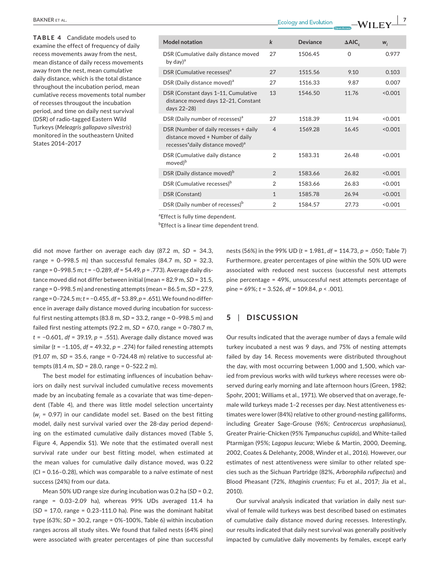**TABLE 4** Candidate models used to examine the effect of frequency of daily recess movements away from the nest, mean distance of daily recess movements away from the nest, mean cumulative daily distance, which is the total distance throughout the incubation period, mean cumlative recess movements total number of recesses througout the incubation period, and time on daily nest survival (DSR) of radio-tagged Eastern Wild Turkeys (*Meleagris gallopavo silvestris*) monitored in the southeastern United States 2014‒2017

| <b>Model notation</b>                                                                                                    | $\bf k$        | Deviance | $\triangle AIC_c$ | $W_i$   |
|--------------------------------------------------------------------------------------------------------------------------|----------------|----------|-------------------|---------|
| DSR (Cumulative daily distance moved<br>by day) $^{\rm a}$                                                               | 27             | 1506.45  | $\Omega$          | 0.977   |
| DSR (Cumulative recesses) <sup>a</sup>                                                                                   | 27             | 1515.56  | 9.10              | 0.103   |
| DSR (Daily distance moved) <sup>a</sup>                                                                                  | 27             | 1516.33  | 9.87              | 0.007   |
| DSR (Constant days 1-11, Cumulative<br>distance moved days 12-21, Constant<br>days 22-28)                                | 13             | 1546.50  | 11.76             | < 0.001 |
| DSR (Daily number of recesses) <sup>a</sup>                                                                              | 27             | 1518.39  | 11.94             | < 0.001 |
| DSR (Number of daily recesses + daily<br>distance moved + Number of daily<br>recesses*daily distance moved) <sup>a</sup> | $\overline{4}$ | 1569.28  | 16.45             | < 0.001 |
| DSR (Cumulative daily distance<br>moved <sup>b</sup>                                                                     | $\overline{2}$ | 1583.31  | 26.48             | < 0.001 |
| DSR (Daily distance moved) <sup>b</sup>                                                                                  | $\overline{2}$ | 1583.66  | 26.82             | < 0.001 |
| DSR (Cumulative recesses) <sup>b</sup>                                                                                   | $\overline{2}$ | 1583.66  | 26.83             | < 0.001 |
| DSR (Constant)                                                                                                           | $\mathbf{1}$   | 1585.78  | 26.94             | < 0.001 |
| DSR (Daily number of recesses) <sup>b</sup>                                                                              | $\overline{2}$ | 1584.57  | 27.73             | < 0.001 |

<sup>a</sup> Effect is fully time dependent.

**bEffect is a linear time dependent trend.** 

did not move farther on average each day (87.2 m, *SD* = 34.3, range = 0–998.5 m) than successful females (84.7 m, *SD* = 32.3, range = 0–998.5 m; *t* = −0.289, *df* = 54.49, *p* = .773). Average daily distance moved did not differ between initial (mean = 82.9 m, *SD* = 31.5, range = 0–998.5 m) and renesting attempts (mean = 86.5 m, *SD* = 27.9, range=0–724.5 m; *t*= −0.455, *df* =53.89, *p*=.651). We found no difference in average daily distance moved during incubation for successful first nesting attempts (83.8 m, *SD* = 33.2, range = 0–998.5 m) and failed first nesting attempts (92.2 m, *SD* = 67.0, range = 0–780.7 m, *t* = −0.601, *df* = 39.19, *p* = .551). Average daily distance moved was similar (*t* = −1.105, *df* = 49.32, *p* = .274) for failed renesting attempts (91.07 m, *SD* = 35.6, range = 0-724.48 m) relative to successful attempts (81.4 m, *SD* = 28.0, range = 0‒522.2 m).

The best model for estimating influences of incubation behaviors on daily nest survival included cumulative recess movements made by an incubating female as a covariate that was time-dependent (Table 4), and there was little model selection uncertainty (*wi* = 0.97) in our candidate model set. Based on the best fitting model, daily nest survival varied over the 28-day period depending on the estimated cumulative daily distances moved (Table 5, Figure 4, Appendix S1). We note that the estimated overall nest survival rate under our best fitting model, when estimated at the mean values for cumulative daily distance moved, was 0.22  $|CI = 0.16 - 0.28|$ , which was comparable to a naïve estimate of nest success (24%) from our data.

Mean 50% UD range size during incubation was 0.2 ha (*SD* = 0.2, range =  $0.03-2.09$  ha), whereas  $99\%$  UDs averaged 11.4 ha  $(SD = 17.0,$  range =  $0.23-111.0$  ha). Pine was the dominant habitat type (63%; *SD* = 30.2, range = 0%‒100%, Table 6) within incubation ranges across all study sites. We found that failed nests (64% pine) were associated with greater percentages of pine than successful

nests (56%) in the 99% UD (*t* = 1.981, *df* = 114.73, *p* = .050; Table 7) Furthermore, greater percentages of pine within the 50% UD were associated with reduced nest success (successful nest attempts pine percentage = 49%, unsuccessful nest attempts percentage of pine = 69%; *t* = 3.526, *df* = 109.84, *p* < .001).

## **5** | **DISCUSSION**

Our results indicated that the average number of days a female wild turkey incubated a nest was 9 days, and 75% of nesting attempts failed by day 14. Recess movements were distributed throughout the day, with most occurring between 1,000 and 1,500, which varied from previous works with wild turkeys where recesses were observed during early morning and late afternoon hours (Green, 1982; Spohr, 2001; Williams et al., 1971). We observed that on average, female wild turkeys made 1–2 recesses per day. Nest attentiveness estimates were lower (84%) relative to other ground-nesting galliforms, including Greater Sage-Grouse (96%; *Centrocercus urophasianus*), Greater Prairie-Chicken (95% *Tympanuchus cupido*), and White-tailed Ptarmigan (95%; *Lagopus leucura*; Wiebe & Martin, 2000, Deeming, 2002, Coates & Delehanty, 2008, Winder et al., 2016). However, our estimates of nest attentiveness were similar to other related species such as the Sichuan Partridge (82%, *Arborophila rufipectus*) and Blood Pheasant (72%, *Ithaginis cruentus*; Fu et al., 2017; Jia et al., 2010).

Our survival analysis indicated that variation in daily nest survival of female wild turkeys was best described based on estimates of cumulative daily distance moved during recesses. Interestingly, our results indicated that daily nest survival was generally positively impacted by cumulative daily movements by females, except early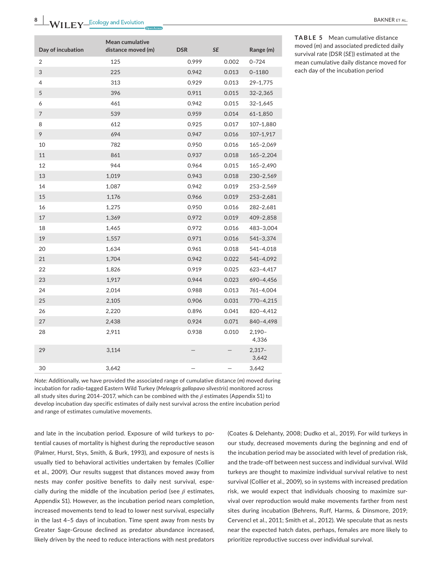|                   | Mean cumulative    |            |       |                   |
|-------------------|--------------------|------------|-------|-------------------|
| Day of incubation | distance moved (m) | <b>DSR</b> | SE    | Range (m)         |
| 2                 | 125                | 0.999      | 0.002 | $0 - 724$         |
| 3                 | 225                | 0.942      | 0.013 | $0 - 1180$        |
| 4                 | 313                | 0.929      | 0.013 | 29-1,775          |
| 5                 | 396                | 0.911      | 0.015 | $32 - 2,365$      |
| 6                 | 461                | 0.942      | 0.015 | 32-1,645          |
| $\overline{7}$    | 539                | 0.959      | 0.014 | $61 - 1,850$      |
| 8                 | 612                | 0.925      | 0.017 | 107-1,880         |
| 9                 | 694                | 0.947      | 0.016 | 107-1,917         |
| 10                | 782                | 0.950      | 0.016 | 165-2,069         |
| 11                | 861                | 0.937      | 0.018 | $165 - 2,204$     |
| 12                | 944                | 0.964      | 0.015 | 165-2,490         |
| 13                | 1,019              | 0.943      | 0.018 | 230-2,569         |
| 14                | 1,087              | 0.942      | 0.019 | 253-2,569         |
| 15                | 1,176              | 0.966      | 0.019 | 253-2,681         |
| 16                | 1,275              | 0.950      | 0.016 | 282-2,681         |
| 17                | 1,369              | 0.972      | 0.019 | 409-2,858         |
| 18                | 1,465              | 0.972      | 0.016 | 483-3,004         |
| 19                | 1,557              | 0.971      | 0.016 | 541-3,374         |
| 20                | 1,634              | 0.961      | 0.018 | 541-4,018         |
| 21                | 1,704              | 0.942      | 0.022 | 541-4,092         |
| 22                | 1,826              | 0.919      | 0.025 | 623-4,417         |
| 23                | 1,917              | 0.944      | 0.023 | 690-4,456         |
| 24                | 2,014              | 0.988      | 0.013 | 761-4,004         |
| 25                | 2,105              | 0.906      | 0.031 | 770-4,215         |
| 26                | 2,220              | 0.896      | 0.041 | 820-4,412         |
| 27                | 2,438              | 0.924      | 0.071 | 840-4,498         |
| 28                | 2,911              | 0.938      | 0.010 | $2,190-$<br>4,336 |
| 29                | 3,114              |            |       | $2,317-$<br>3,642 |
| 30                | 3,642              |            |       | 3,642             |

**TABLE 5** Mean cumulative distance moved (*m*) and associated predicted daily survival rate (DSR (*SE*)) estimated at the mean cumulative daily distance moved for each day of the incubation period

*Note:* Additionally, we have provided the associated range of cumulative distance (*m*) moved during incubation for radio-tagged Eastern Wild Turkey (*Meleagris gallopavo silvestris*) monitored across all study sites during 2014–2017, which can be combined with the *β* estimates (Appendix S1) to develop incubation day specific estimates of daily nest survival across the entire incubation period and range of estimates cumulative movements.

and late in the incubation period. Exposure of wild turkeys to potential causes of mortality is highest during the reproductive season (Palmer, Hurst, Stys, Smith, & Burk, 1993), and exposure of nests is usually tied to behavioral activities undertaken by females (Collier et al., 2009). Our results suggest that distances moved away from nests may confer positive benefits to daily nest survival, especially during the middle of the incubation period (see *β* estimates, Appendix S1). However, as the incubation period nears completion, increased movements tend to lead to lower nest survival, especially in the last 4–5 days of incubation. Time spent away from nests by Greater Sage-Grouse declined as predator abundance increased, likely driven by the need to reduce interactions with nest predators

(Coates & Delehanty, 2008; Dudko et al., 2019). For wild turkeys in our study, decreased movements during the beginning and end of the incubation period may be associated with level of predation risk, and the trade-off between nest success and individual survival. Wild turkeys are thought to maximize individual survival relative to nest survival (Collier et al., 2009), so in systems with increased predation risk, we would expect that individuals choosing to maximize survival over reproduction would make movements farther from nest sites during incubation (Behrens, Ruff, Harms, & Dinsmore, 2019; Cervencl et al., 2011; Smith et al., 2012). We speculate that as nests near the expected hatch dates, perhaps, females are more likely to prioritize reproductive success over individual survival.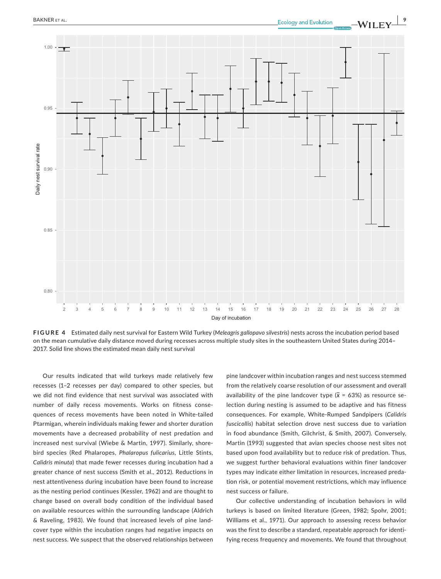

**FIGURE 4** Estimated daily nest survival for Eastern Wild Turkey (*Meleagris gallopavo silvestris*) nests across the incubation period based on the mean cumulative daily distance moved during recesses across multiple study sites in the southeastern United States during 2014– 2017. Solid line shows the estimated mean daily nest survival

Our results indicated that wild turkeys made relatively few recesses (1–2 recesses per day) compared to other species, but we did not find evidence that nest survival was associated with number of daily recess movements. Works on fitness consequences of recess movements have been noted in White-tailed Ptarmigan, wherein individuals making fewer and shorter duration movements have a decreased probability of nest predation and increased nest survival (Wiebe & Martin, 1997). Similarly, shorebird species (Red Phalaropes, *Phalaropus fulicarius*, Little Stints, *Calidris minuta*) that made fewer recesses during incubation had a greater chance of nest success (Smith et al., 2012). Reductions in nest attentiveness during incubation have been found to increase as the nesting period continues (Kessler, 1962) and are thought to change based on overall body condition of the individual based on available resources within the surrounding landscape (Aldrich & Raveling, 1983). We found that increased levels of pine landcover type within the incubation ranges had negative impacts on nest success. We suspect that the observed relationships between pine landcover within incubation ranges and nest success stemmed from the relatively coarse resolution of our assessment and overall availability of the pine landcover type  $(\bar{x} = 63%)$  as resource selection during nesting is assumed to be adaptive and has fitness consequences. For example, White-Rumped Sandpipers (*Calidris fuscicollis*) habitat selection drove nest success due to variation in food abundance (Smith, Gilchrist, & Smith, 2007). Conversely, Martin (1993) suggested that avian species choose nest sites not based upon food availability but to reduce risk of predation. Thus, we suggest further behavioral evaluations within finer landcover types may indicate either limitation in resources, increased predation risk, or potential movement restrictions, which may influence nest success or failure.

Our collective understanding of incubation behaviors in wild turkeys is based on limited literature (Green, 1982; Spohr, 2001; Williams et al., 1971). Our approach to assessing recess behavior was the first to describe a standard, repeatable approach for identifying recess frequency and movements. We found that throughout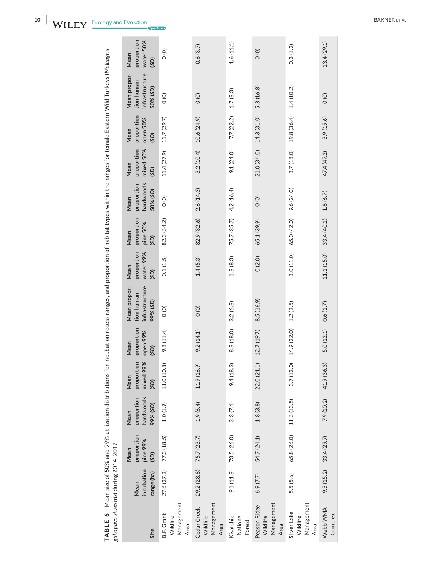| ı<br>ï<br>I<br>ı<br>١<br>$\frac{1}{2}$<br>ā<br>Ï<br>Ì<br>Ì<br>ï<br>j<br>I<br>$\overline{\phantom{a}}$<br>ì<br>ć<br>TABLE 6 Mean size of 50% and 99% utilization distribut | 14-2017<br><b>24.00</b><br>من من من<br>iv. 1-11-12.<br>Ī<br>הה  המחווה ב<br>しょうこうしょ |
|---------------------------------------------------------------------------------------------------------------------------------------------------------------------------|-------------------------------------------------------------------------------------|
|                                                                                                                                                                           |                                                                                     |

| Site                                                | incubation<br>range (ha)<br>Mean | proportion<br>pine 99%<br>Mean<br>(SD) | hardwoods<br>proportion<br>99% (SD)<br>Mean | mixed 99%<br>proportion<br>Mean<br>(SD) | proportion<br>open 99%<br>Mean<br>(SD) | infrastructure<br>Mean propor-<br>tion human<br>99% (SD) | proportion<br>water 99%<br>Mean<br>(SD) | proportion<br>pine 50%<br>Mean<br>(SD) | hardwoods<br>proportion<br>50% (SD)<br>Mean | mixed 50%<br>proportion<br>Mean<br>(SD) | proportion<br>open 50%<br>Mean<br>(SD) | infrastructure<br>Mean propor-<br>tion human<br>50% (SD) | proportion<br>water 50%<br>Mean<br>(SD) |
|-----------------------------------------------------|----------------------------------|----------------------------------------|---------------------------------------------|-----------------------------------------|----------------------------------------|----------------------------------------------------------|-----------------------------------------|----------------------------------------|---------------------------------------------|-----------------------------------------|----------------------------------------|----------------------------------------------------------|-----------------------------------------|
| Management<br><b>B.F. Grant</b><br>Wildlife<br>Area | 27.6 (27.2)                      | 77.3 (18.5)                            | 1.0(1.9)                                    | 11.0 (10.8)                             | 9.8(11.4)                              | $\frac{1}{2}$                                            | 0.1(1.5)                                | 82.3 (34.2)                            | $\frac{1}{2}$                               | 11.4 (27.9)                             | 11.7(29.7)                             | $\frac{1}{2}$                                            | $\circ$                                 |
| Management<br>Cedar Creek<br>Wildlife<br>Area       | 29.2 (28.8) 75.7 (23.7)          |                                        | 1.9(6.4)                                    | 11.9 (16.9)                             | 9.2(14.1)                              | O(0)                                                     | 1.4(5.3)                                | 82.9 (32.6) 2.6 (14.3)                 |                                             | $3.2(10.4)$ 10.6 (24.9)                 |                                        | O(0)                                                     | 0.6(3.7)                                |
| National<br>Kisatchie<br>Forest                     |                                  | $9.1(11.8)$ 73.5 (26.0)                | 3.3(7.4)                                    | 9.4(18.3)                               | 8.8 (18.0)                             | 3.2(6.8)                                                 | 1.8(8.3)                                | 75.7 (35.7) 4.2 (16.4)                 |                                             | 9.1(24.0)                               | 7.7(22.2)                              | 1.7(8.3)                                                 | 1.6(11.1)                               |
| Management<br>Peason Ridge<br>Wildlife<br>Area      | 6.9(7.7)                         | 54.7 (24.1)                            | 1.8(3.8)                                    | 22.0 (21.1)                             | 12.7 (19.7)                            | 8.5(16.9)                                                | 0(2.0)                                  | 65.1 (39.9)                            | $\circ$                                     | 21.0 (34.0)                             | 14.3 (31.0)                            | 5.8(16.8)                                                | $\frac{1}{2}$                           |
| Management<br>Silver Lake<br>Wildlife<br>Area       | 5.5(5.6)                         | 65.8 (26.0)                            | 11.3(13.5)                                  | 3.7(12.0)                               | 14.9 (22.0)                            | 1.2(2.5)                                                 | 3.0(11.0)                               | 65.0 (42.0)                            | 9.6 (24.0)                                  | 3.7(18.0)                               | 19.8 (36.4)                            | 1.4(10.2)                                                | 0.3(1.2)                                |
| Webb WMA<br>Complex                                 | 9.5(15.2)                        | 33.4 (29.7)                            | 7.9 (10.2)                                  | 41.9 (36.3)                             | 5.0(12.1)                              | 0.6(1.7)                                                 | 11.1 (15.0)                             | 33.4 (40.1)                            | 1.8(6.7)                                    | 47.4 (47.2)                             | 3.9(15.6)                              | O(0)                                                     | 13.4(29.1)                              |
|                                                     |                                  |                                        |                                             |                                         |                                        |                                                          |                                         |                                        |                                             |                                         |                                        |                                                          |                                         |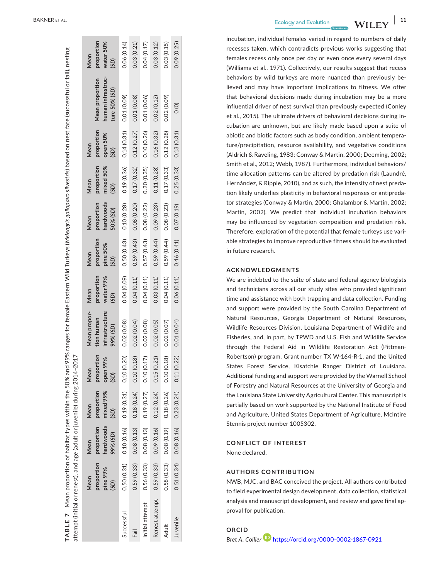| attempt (initial or renest), and age (adult or juvenile) during 2014-2017 |                                        |                                             |                                         |                                        |                                                          |                                         |                                        |                                             |                                         |                                        |                                                              |                                         |
|---------------------------------------------------------------------------|----------------------------------------|---------------------------------------------|-----------------------------------------|----------------------------------------|----------------------------------------------------------|-----------------------------------------|----------------------------------------|---------------------------------------------|-----------------------------------------|----------------------------------------|--------------------------------------------------------------|-----------------------------------------|
|                                                                           | proportion<br>pine 99%<br>Mean<br>(SD) | hardwoods<br>proportion<br>(GS) %66<br>Mean | proportion<br>mixed 99%<br>Mean<br>(SD) | proportion<br>open 99%<br>(SD)<br>Mean | Mean propor-<br>infrastructure<br>tion human<br>99% (SD) | proportion<br>water 99%<br>Mean<br>(SD) | proportion<br>pine 50%<br>(SD)<br>Mean | hardwoods<br>proportion<br>50% (SD)<br>Mean | proportion<br>mixed 50%<br>Mean<br>(5D) | proportion<br>open 50%<br>Mean<br>(SD) | human infrastruc-<br><b>Mean proportion</b><br>ture 50% (SD) | proportion<br>water 50%<br>Mean<br>(SD) |
| Successful                                                                | 0.50(0.31)                             | 0.10(0.16)                                  | 0.19(0.31)                              | 0.10 (0.20)                            | 0.02(0.08)                                               | 0.04 (0.09)                             | 0.50(0.43)                             | 0.10(0.28)                                  | 0.19(0.36)                              | 0.14(0.31)                             | 0.01 (0.09)                                                  | 0.06(0.14)                              |
| Fail                                                                      | 0.59(0.33)                             | 0.08(0.13)                                  | 0.18(0.24)                              | 0.10(0.18)                             | 0.02(0.04)                                               | 0.04(0.11)                              | 0.59(0.43)                             | 0.08(0.20)                                  | 0.17(0.32)                              | 0.12(0.27)                             | 0.01 (0.08)                                                  | 0.03(0.21)                              |
| Initial attempt                                                           | 0.56(0.33)                             | 0.08(0.13)                                  | 0.19(0.27)                              | 0.10(0.17)                             | 0.02(0.08)                                               | 0.04(0.11)                              | 0.57(0.43)                             | 0.08(0.22)                                  | 0.20(0.35)                              | 0.10(0.26)                             | 0.01 (0.06)                                                  | 0.04 (0.17)                             |
| Renest attempt                                                            |                                        | $0.59(0.33)$ 0.09 (0.16)                    | 0.12(0.24)                              | 0.15(0.21)                             | 0.02(0.05)                                               | 0.03(0.11)                              | 0.59(0.44)                             | 0.09 (0.23)                                 | 0.11(0.28)                              | 0.16(0.32)                             | 0.02(0.12)                                                   | 0.03 (0.12)                             |
| Adult                                                                     | 0.58(0.33)                             | 0.08(0.19)                                  | 0.18(0.26)                              | 0.10(0.18)                             | 0.02 (0.07)                                              | 0.04(0.11)                              | 0.59(0.44)                             | 0.08(0.23)                                  | 0.17(0.33)                              | 0.12(0.28)                             | 0.02 (0.09)                                                  | 0.03(0.15)                              |
| Juvenile                                                                  | 0.51(0.34)                             | 0.08(0.16)                                  |                                         | $0.23(0.24)$ $0.11(0.22)$              | 0.01 (0.04)                                              | 0.06(0.11)                              | 0.46(0.41)                             | 0.07(0.19)                                  | 0.25(0.33)                              | 0.13(0.31)                             | $\circ$                                                      | 0.09 (0.25)                             |
|                                                                           |                                        |                                             |                                         |                                        |                                                          |                                         |                                        |                                             |                                         |                                        |                                                              |                                         |

**TABLE 7** 

TABLE 7

Mean proportion of habitat types within the 50% and 99% ranges for female Eastern Wild Turkeys (*Meleagris gallopavo silvestris*) based on nest fate (successful or fail), nesting

Mean proportion of habitat types within the 50% and 99% ranges for female Eastern Wild Turkeys (Meleagris gallopavo silvestris) based on nest fate (successful or fail), nesting

**Example 20** BAKNER ET AL.

incubation, individual females varied in regard to numbers of daily recesses taken, which contradicts previous works suggesting that females recess only once per day or even once every several days (Williams et al., 1971). Collectively, our results suggest that recess behaviors by wild turkeys are more nuanced than previously be lieved and may have important implications to fitness. We offer that behavioral decisions made during incubation may be a more influential driver of nest survival than previously expected (Conley et al., 2015). The ultimate drivers of behavioral decisions during in cubation are unknown, but are likely made based upon a suite of abiotic and biotic factors such as body condition, ambient tempera ture/precipitation, resource availability, and vegetative conditions (Aldrich & Raveling, 1983; Conway & Martin, 2000; Deeming, 2002; Smith et al., 2012; Webb, 1987). Furthermore, individual behaviors/ time allocation patterns can be altered by predation risk (Laundré, Hernández, & Ripple, 2010), and as such, the intensity of nest preda tion likely underlies plasticity in behavioral responses or antipreda tor strategies (Conway & Martin, 2000; Ghalambor & Martin, 2002; Martin, 2002). We predict that individual incubation behaviors may be influenced by vegetation composition and predation risk. Therefore, exploration of the potential that female turkeys use vari able strategies to improve reproductive fitness should be evaluated in future research.

#### **ACKNOWLEDGMENTS**

We are indebted to the suite of state and federal agency biologists and technicians across all our study sites who provided significant time and assistance with both trapping and data collection. Funding and support were provided by the South Carolina Department of Natural Resources, Georgia Department of Natural Resources, Wildlife Resources Division, Louisiana Department of Wildlife and Fisheries, and, in part, by TPWD and U.S. Fish and Wildlife Service through the Federal Aid in Wildlife Restoration Act (Pittman-Robertson) program, Grant number TX W-164-R-1, and the United States Forest Service, Kisatchie Ranger District of Louisiana. Additional funding and support were provided by the Warnell School of Forestry and Natural Resources at the University of Georgia and the Louisiana State University Agricultural Center. This manuscript is partially based on work supported by the National Institute of Food and Agriculture, United States Department of Agriculture, McIntire Stennis project number 1005302.

#### **CONFLICT OF INTEREST**

None declared.

#### **AUTHORS CONTRIBUTION**

NWB, MJC, and BAC conceived the project. All authors contributed to field experimental design development, data collection, statistical analysis and manuscript development, and review and gave final ap proval for publication.

# **ORCID** *Bret A. Collier* <https://orcid.org/0000-0002-1867-0921>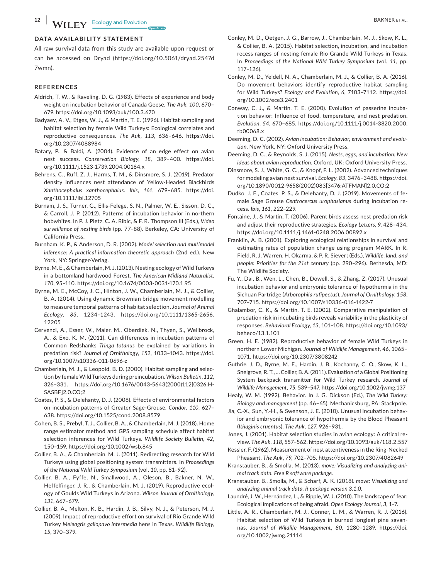#### **DATA AVAILABILITY STATEMENT**

All raw survival data from this study are available upon request or can be accessed on Dryad ([https://doi.org/10.5061/dryad.2547d](https://doi.org/10.5061/dryad.2547d7wmn) [7wmn\)](https://doi.org/10.5061/dryad.2547d7wmn).

#### **REFERENCES**

- Aldrich, T. W., & Raveling, D. G. (1983). Effects of experience and body weight on incubation behavior of Canada Geese. *The Auk*, *100*, 670– 679. <https://doi.org/10.1093/auk/100.3.670>
- Badyaev, A. V., Etges, W. J., & Martin, T. E. (1996). Habitat sampling and habitat selection by female Wild Turkeys: Ecological correlates and reproductive consequences. *The Auk*, *113*, 636–646. [https://doi.](https://doi.org/10.2307/4088984) [org/10.2307/4088984](https://doi.org/10.2307/4088984)
- Batary, P., & Baldi, A. (2004). Evidence of an edge effect on avian nest success. *Conservation Biology*, *18*, 389–400. [https://doi.](https://doi.org/10.1111/j.1523-1739.2004.00184.x) [org/10.1111/j.1523-1739.2004.00184.x](https://doi.org/10.1111/j.1523-1739.2004.00184.x)
- Behrens, C., Ruff, Z. J., Harms, T. M., & Dinsmore, S. J. (2019). Predator density influences nest attendance of Yellow-Headed Blackbirds *Xanthocephalus xanthocephalus*. *Ibis*, *161*, 679–685. [https://doi.](https://doi.org/10.1111/ibi.12705) [org/10.1111/ibi.12705](https://doi.org/10.1111/ibi.12705)
- Burnam, J. S., Turner, G., Ellis-Felege, S. N., Palmer, W. E., Sisson, D. C., & Carroll, J. P. (2012). Patterns of incubation behavior in northern bobwhites. In P. J. Pietz, C. A. Ribic, & F. R. Thompson III (Eds.), *Video surveillance of nesting birds* (pp. 77–88). Berkeley, CA: University of California Press.
- Burnham, K. P., & Anderson, D. R. (2002). *Model selection and multimodel inference: A practical information theoretic approach* (2nd ed.). New York, NY: Springer-Verlag.
- Byrne, M. E., & Chamberlain, M. J. (2013). Nesting ecology of Wild Turkeys in a bottomland hardwood Forest. *The American Midland Naturalist*, *170*, 95–110. <https://doi.org/10.1674/0003-0031-170.1.95>
- Byrne, M. E., McCoy, J. C., Hinton, J. W., Chamberlain, M. J., & Collier, B. A. (2014). Using dynamic Brownian bridge movement modelling to measure temporal patterns of habitat selection. *Journal of Animal Ecology*, *83*, 1234–1243. [https://doi.org/10.1111/1365-2656.](https://doi.org/10.1111/1365-2656.12205) [12205](https://doi.org/10.1111/1365-2656.12205)
- Cervencl, A., Esser, W., Maier, M., Oberdiek, N., Thyen, S., Wellbrock, A., & Exo, K. M. (2011). Can differences in incubation patterns of Common Redshanks *Tringa totanus* be explained by variations in predation risk? *Journal of Ornithology*, *152*, 1033–1043. [https://doi.](https://doi.org/10.1007/s10336-011-0696-z) [org/10.1007/s10336-011-0696-z](https://doi.org/10.1007/s10336-011-0696-z)
- Chamberlain, M. J., & Leopold, B. D. (2000). Habitat sampling and selection by female Wild Turkeys during preincubation. *Wilson Bulletin*, *112*, 326–331. [https://doi.org/10.1676/0043-5643\(2000\)112\[0326:H](https://doi.org/10.1676/0043-5643(2000)112%5B0326:HSASBF%5D2.0.CO;2)-[SASBF\]2.0.CO;2](https://doi.org/10.1676/0043-5643(2000)112%5B0326:HSASBF%5D2.0.CO;2)
- Coates, P. S., & Delehanty, D. J. (2008). Effects of environmental factors on incubation patterns of Greater Sage-Grouse. *Condor*, *110*, 627– 638. <https://doi.org/10.1525/cond.2008.8579>
- Cohen, B. S., Prebyl, T. J., Collier, B. A., & Chamberlain, M. J. (2018). Home range estimator method and GPS sampling schedule affect habitat selection inferences for Wild Turkeys. *Wildlife Society Bulletin*, *42*, 150–159. <https://doi.org/10.1002/wsb.845>
- Collier, B. A., & Chamberlain, M. J. (2011). Redirecting research for Wild Turkeys using global positioning system transmitters. In *Proceedings of the National Wild Turkey Symposium* (vol. *10*, pp. 81–92).
- Collier, B. A., Fyffe, N., Smallwood, A., Oleson, B., Bakner, N. W., Heffelfinger, J. R., & Chamberlain, M. J. (2019). Reproductive ecology of Goulds Wild Turkeys in Arizona. *Wilson Journal of Ornithology*, *131*, 667–679.
- Collier, B. A., Melton, K. B., Hardin, J. B., Silvy, N. J., & Peterson, M. J. (2009). Impact of reproductive effort on survival of Rio Grande Wild Turkey *Meleagris gallopavo intermedia* hens in Texas. *Wildlife Biology*, *15*, 370–379.
- Conley, M. D., Oetgen, J. G., Barrow, J., Chamberlain, M. J., Skow, K. L., & Collier, B. A. (2015). Habitat selection, incubation, and incubation recess ranges of nesting female Rio Grande Wild Turkeys in Texas. In *Proceedings of the National Wild Turkey Symposium* (vol. *11*, pp. 117–126).
- Conley, M. D., Yeldell, N. A., Chamberlain, M. J., & Collier, B. A. (2016). Do movement behaviors identify reproductive habitat sampling for Wild Turkeys? *Ecology and Evolution*, *6*, 7103–7112. [https://doi.](https://doi.org/10.1002/ece3.2401) [org/10.1002/ece3.2401](https://doi.org/10.1002/ece3.2401)
- Conway, C. J., & Martin, T. E. (2000). Evolution of passerine incubation behavior: Influence of food, temperature, and nest predation. *Evolution*, *54*, 670–685. [https://doi.org/10.1111/j.0014-3820.2000.](https://doi.org/10.1111/j.0014-3820.2000.tb00068.x) [tb00068.x](https://doi.org/10.1111/j.0014-3820.2000.tb00068.x)
- Deeming, D. C. (2002). *Avian incubation: Behavior, environment and evolution*. New York, NY: Oxford University Press.
- Deeming, D. C., & Reynolds, S. J. (2015). *Nests, eggs, and incubation: New ideas about avian reproduction*. Oxford, UK: Oxford University Press.
- Dinsmore, S. J., White, G. C., & Knopf, F. L. (2002). Advanced techniques for modeling avian nest survival. *Ecology*, *83*, 3476–3488. [https://doi.](https://doi.org/10.1890/0012-9658(2002)083%5B3476:ATFMAN%5D2.0.CO;2) [org/10.1890/0012-9658\(2002\)083\[3476:ATFMAN\]2.0.CO;2](https://doi.org/10.1890/0012-9658(2002)083%5B3476:ATFMAN%5D2.0.CO;2)
- Dudko, J. E., Coates, P. S., & Delehanty, D. J. (2019). Movements of female Sage Grouse *Centrocercus urophasianus* during incubation recess. *Ibis*, *161*, 222–229.
- Fontaine, J., & Martin, T. (2006). Parent birds assess nest predation risk and adjust their reproductive strategies. *Ecology Letters*, *9*, 428–434. <https://doi.org/10.1111/j.1461-0248.2006.00892.x>
- Franklin, A. B. (2001). Exploring ecological relationships in survival and estimating rates of population change using program MARK. In R. Field, R. J. Warren, H. Okarma, & P. R. Sievert (Eds.), *Wildlife, land, and people: Priorities for the 21st century* (pp. 290‒296). Bethesda, MD: The Wildlife Society.
- Fu, Y., Dai, B., Wen, L., Chen, B., Dowell, S., & Zhang, Z. (2017). Unusual incubation behavior and embryonic tolerance of hypothermia in the Sichuan Partridge (*Arborophila rufipectus*). *Journal of Ornithology*, *158*, 707–715.<https://doi.org/10.1007/s10336-016-1422-7>
- Ghalambor, C. K., & Martin, T. E. (2002). Comparative manipulation of predation risk in incubating birds reveals variability in the plasticity of responses. *Behavioral Ecology*, *13*, 101–108. [https://doi.org/10.1093/](https://doi.org/10.1093/beheco/13.1.101) [beheco/13.1.101](https://doi.org/10.1093/beheco/13.1.101)
- Green, H. E. (1982). Reproductive behavior of female Wild Turkeys in northern Lower Michigan. *Journal of Wildlife Management*, *46*, 1065– 1071.<https://doi.org/10.2307/3808242>
- Guthrie, J. D., Byrne, M. E., Hardin, J. B., Kochanny, C. O., Skow, K. L., Snelgrove, R. T., … Collier, B. A. (2011). Evaluation of a Global Positioning System backpack transmitter for Wild Turkey research. *Journal of Wildlife Management*, *75*, 539–547.<https://doi.org/10.1002/jwmg.137>
- Healy, W. M. (1992). Behavior. In J. G. Dickson (Ed.), *The Wild Turkey: Biology and management* (pp. 46–65). Mechanicsburg, PA: Stackpole.
- Jia, C.-X., Sun, Y.-H., & Swenson, J. E. (2010). Unusual incubation behavior and embryonic tolerance of hypothermia by the Blood Pheasant (*Ithaginis cruentus*). *The Auk*, *127*, 926–931.
- Jones, J. (2001). Habitat selection studies in avian ecology: A critical review. *The Auk*, *118*, 557–562.<https://doi.org/10.1093/auk/118.2.557>
- Kessler, F. (1962). Measurement of nest attentiveness in the Ring-Necked Pheasant. *The Auk*, *79*, 702–705. <https://doi.org/10.2307/4082649>
- Kranstauber, B., & Smolla, M. (2013). *move: Visualizing and analyzing animal track data. Free R software package*.
- Kranstauber, B., Smolla, M., & Scharf, A. K. (2018). *move: Visualizing and analyzing animal track data. R package version 3.1.0*.
- Laundré, J. W., Hernández, L., & Ripple, W. J. (2010). The landscape of fear: Ecological implications of being afraid. *Open Ecology Journal*, *3*, 1–7.
- Little, A. R., Chamberlain, M. J., Conner, L. M., & Warren, R. J. (2016). Habitat selection of Wild Turkeys in burned longleaf pine savannas. *Journal of Wildlife Management*, *80*, 1280–1289. [https://doi.](https://doi.org/10.1002/jwmg.21114) [org/10.1002/jwmg.21114](https://doi.org/10.1002/jwmg.21114)